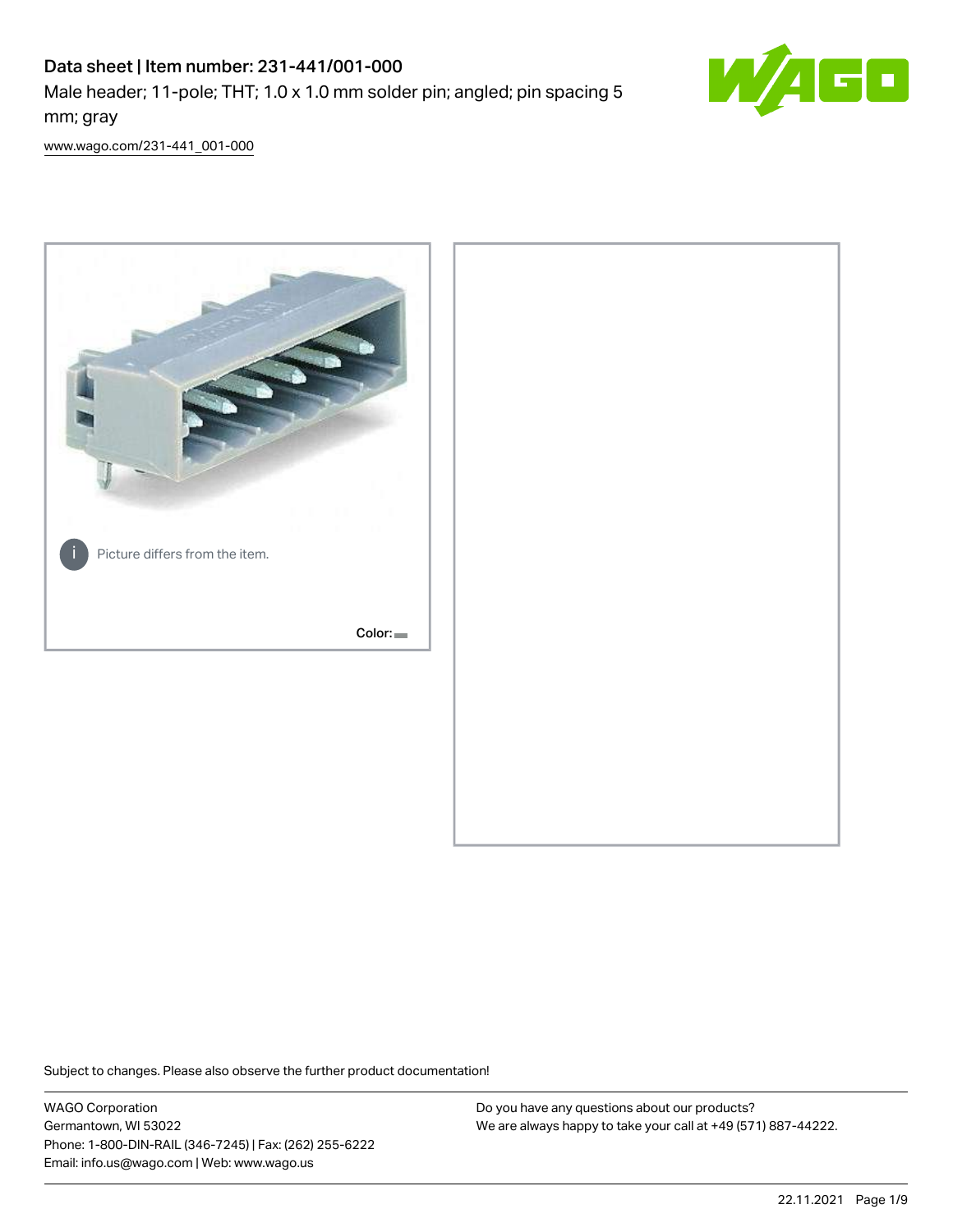# Data sheet | Item number: 231-441/001-000

Male header; 11-pole; THT; 1.0 x 1.0 mm solder pin; angled; pin spacing 5 mm; gray



[www.wago.com/231-441\\_001-000](http://www.wago.com/231-441_001-000)



Subject to changes. Please also observe the further product documentation!

WAGO Corporation Germantown, WI 53022 Phone: 1-800-DIN-RAIL (346-7245) | Fax: (262) 255-6222 Email: info.us@wago.com | Web: www.wago.us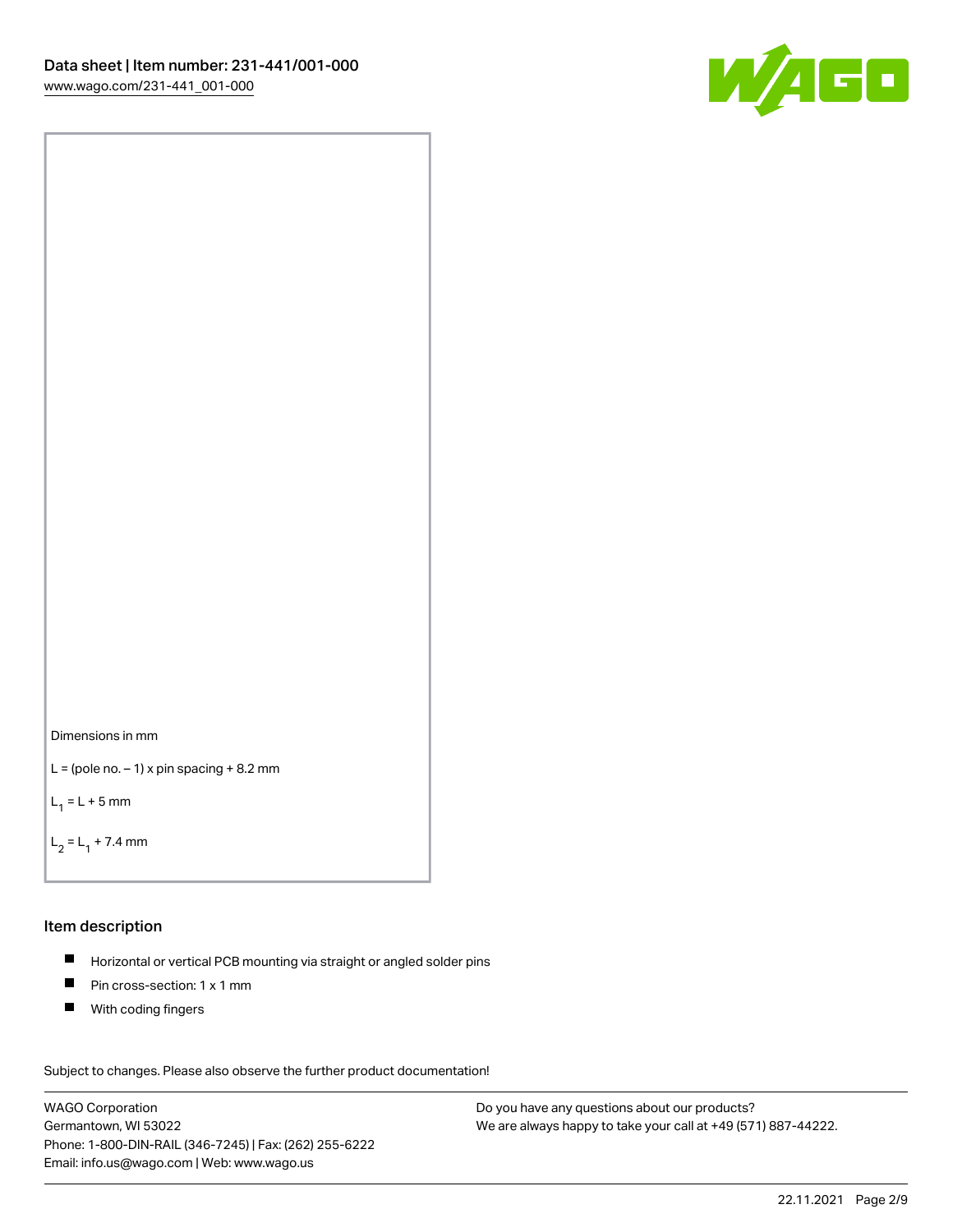



```
L = (pole no. -1) x pin spacing +8.2 mm
```
 $L_1 = L + 5$  mm

```
L_2 = L_1 + 7.4 mm
```
#### Item description

- Horizontal or vertical PCB mounting via straight or angled solder pins  $\blacksquare$
- $\blacksquare$ Pin cross-section: 1 x 1 mm
- **With coding fingers**

Subject to changes. Please also observe the further product documentation! Data

WAGO Corporation Germantown, WI 53022 Phone: 1-800-DIN-RAIL (346-7245) | Fax: (262) 255-6222 Email: info.us@wago.com | Web: www.wago.us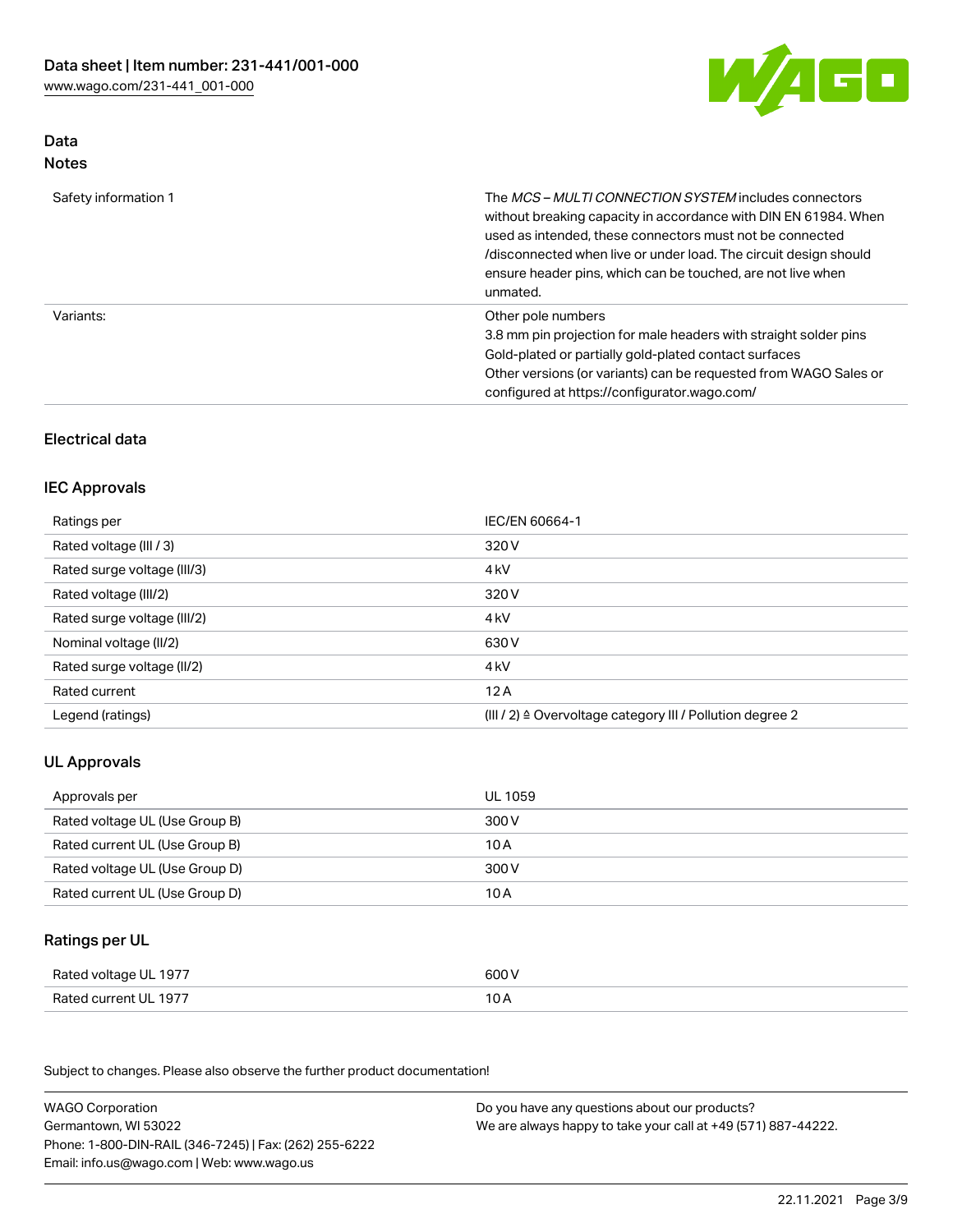

## Data Notes

| Safety information 1 | The <i>MCS – MULTI CONNECTION SYSTEM</i> includes connectors<br>without breaking capacity in accordance with DIN EN 61984. When<br>used as intended, these connectors must not be connected<br>/disconnected when live or under load. The circuit design should<br>ensure header pins, which can be touched, are not live when<br>unmated. |
|----------------------|--------------------------------------------------------------------------------------------------------------------------------------------------------------------------------------------------------------------------------------------------------------------------------------------------------------------------------------------|
| Variants:            | Other pole numbers<br>3.8 mm pin projection for male headers with straight solder pins<br>Gold-plated or partially gold-plated contact surfaces<br>Other versions (or variants) can be requested from WAGO Sales or<br>configured at https://configurator.wago.com/                                                                        |

## Electrical data

## IEC Approvals

| Ratings per                 | IEC/EN 60664-1                                                        |
|-----------------------------|-----------------------------------------------------------------------|
| Rated voltage (III / 3)     | 320 V                                                                 |
| Rated surge voltage (III/3) | 4 <sub>k</sub> V                                                      |
| Rated voltage (III/2)       | 320 V                                                                 |
| Rated surge voltage (III/2) | 4 <sub>kV</sub>                                                       |
| Nominal voltage (II/2)      | 630 V                                                                 |
| Rated surge voltage (II/2)  | 4 <sub>k</sub> V                                                      |
| Rated current               | 12A                                                                   |
| Legend (ratings)            | $(III / 2)$ $\triangle$ Overvoltage category III / Pollution degree 2 |

## UL Approvals

| Approvals per                  | UL 1059 |
|--------------------------------|---------|
| Rated voltage UL (Use Group B) | 300 V   |
| Rated current UL (Use Group B) | 10 A    |
| Rated voltage UL (Use Group D) | 300 V   |
| Rated current UL (Use Group D) | 10 A    |

## Ratings per UL

| Rated voltage UL 1977 | 600 V |
|-----------------------|-------|
| Rated current UL 1977 | 10 A  |

Subject to changes. Please also observe the further product documentation!

| <b>WAGO Corporation</b>                                | Do you have any questions about our products?                 |
|--------------------------------------------------------|---------------------------------------------------------------|
| Germantown, WI 53022                                   | We are always happy to take your call at +49 (571) 887-44222. |
| Phone: 1-800-DIN-RAIL (346-7245)   Fax: (262) 255-6222 |                                                               |
| Email: info.us@wago.com   Web: www.wago.us             |                                                               |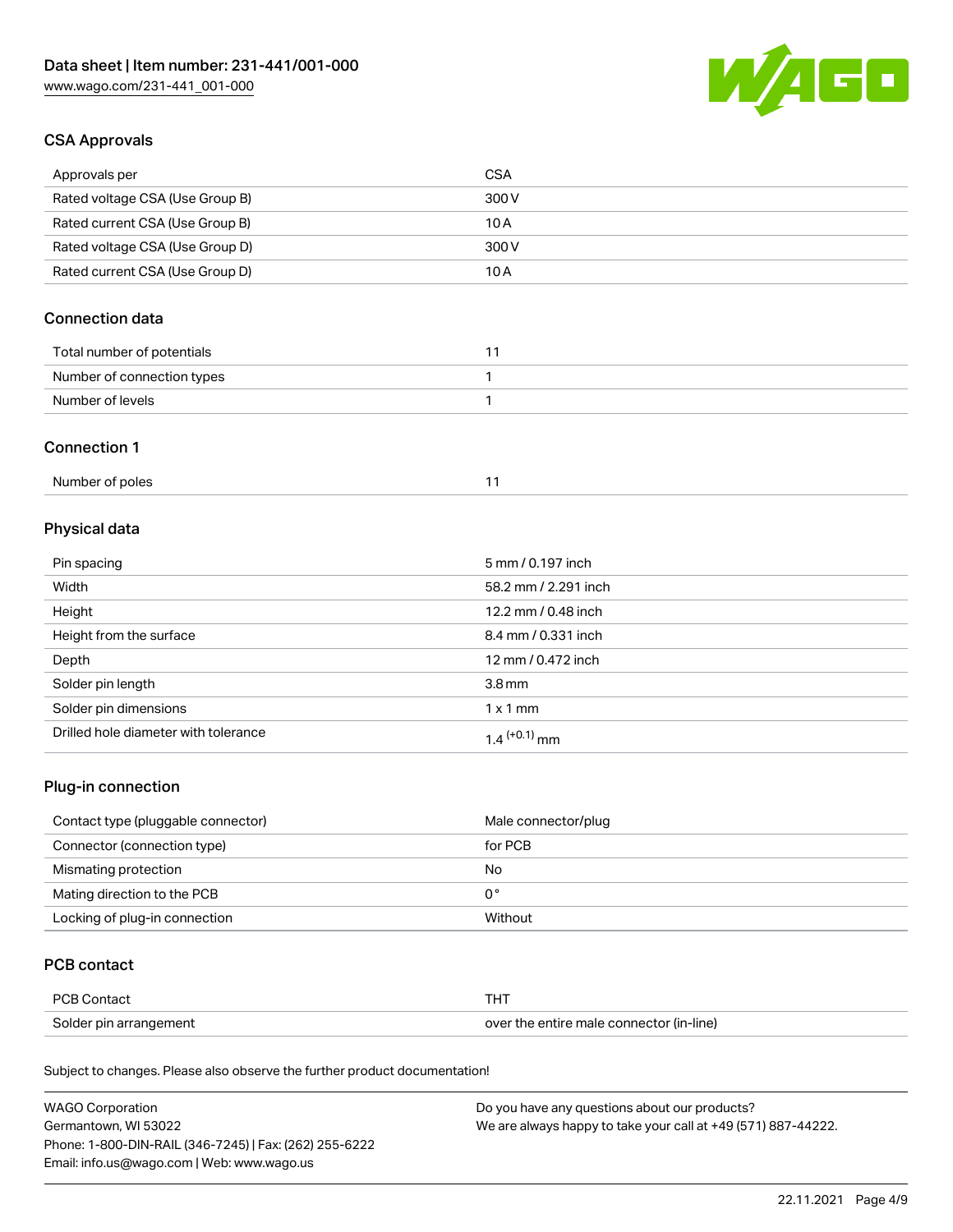

## CSA Approvals

| Approvals per                   | CSA   |
|---------------------------------|-------|
| Rated voltage CSA (Use Group B) | 300 V |
| Rated current CSA (Use Group B) | 10 A  |
| Rated voltage CSA (Use Group D) | 300 V |
| Rated current CSA (Use Group D) | 10 A  |

## Connection data

| Total number of potentials |  |
|----------------------------|--|
| Number of connection types |  |
| Number of levels           |  |

#### Connection 1

# Physical data

| Pin spacing                          | 5 mm / 0.197 inch    |
|--------------------------------------|----------------------|
| Width                                | 58.2 mm / 2.291 inch |
| Height                               | 12.2 mm / 0.48 inch  |
| Height from the surface              | 8.4 mm / 0.331 inch  |
| Depth                                | 12 mm / 0.472 inch   |
| Solder pin length                    | 3.8 <sub>mm</sub>    |
| Solder pin dimensions                | $1 \times 1$ mm      |
| Drilled hole diameter with tolerance | $1.4$ $(+0.1)$ mm    |

## Plug-in connection

| Contact type (pluggable connector) | Male connector/plug |
|------------------------------------|---------------------|
| Connector (connection type)        | for PCB             |
| Mismating protection               | No                  |
| Mating direction to the PCB        | 0°                  |
| Locking of plug-in connection      | Without             |

## PCB contact

| PCB Contact            | тнт                                      |
|------------------------|------------------------------------------|
| Solder pin arrangement | over the entire male connector (in-line) |

Subject to changes. Please also observe the further product documentation!

| <b>WAGO Corporation</b>                                | Do you have any questions about our products?                 |
|--------------------------------------------------------|---------------------------------------------------------------|
| Germantown, WI 53022                                   | We are always happy to take your call at +49 (571) 887-44222. |
| Phone: 1-800-DIN-RAIL (346-7245)   Fax: (262) 255-6222 |                                                               |
| Email: info.us@wago.com   Web: www.wago.us             |                                                               |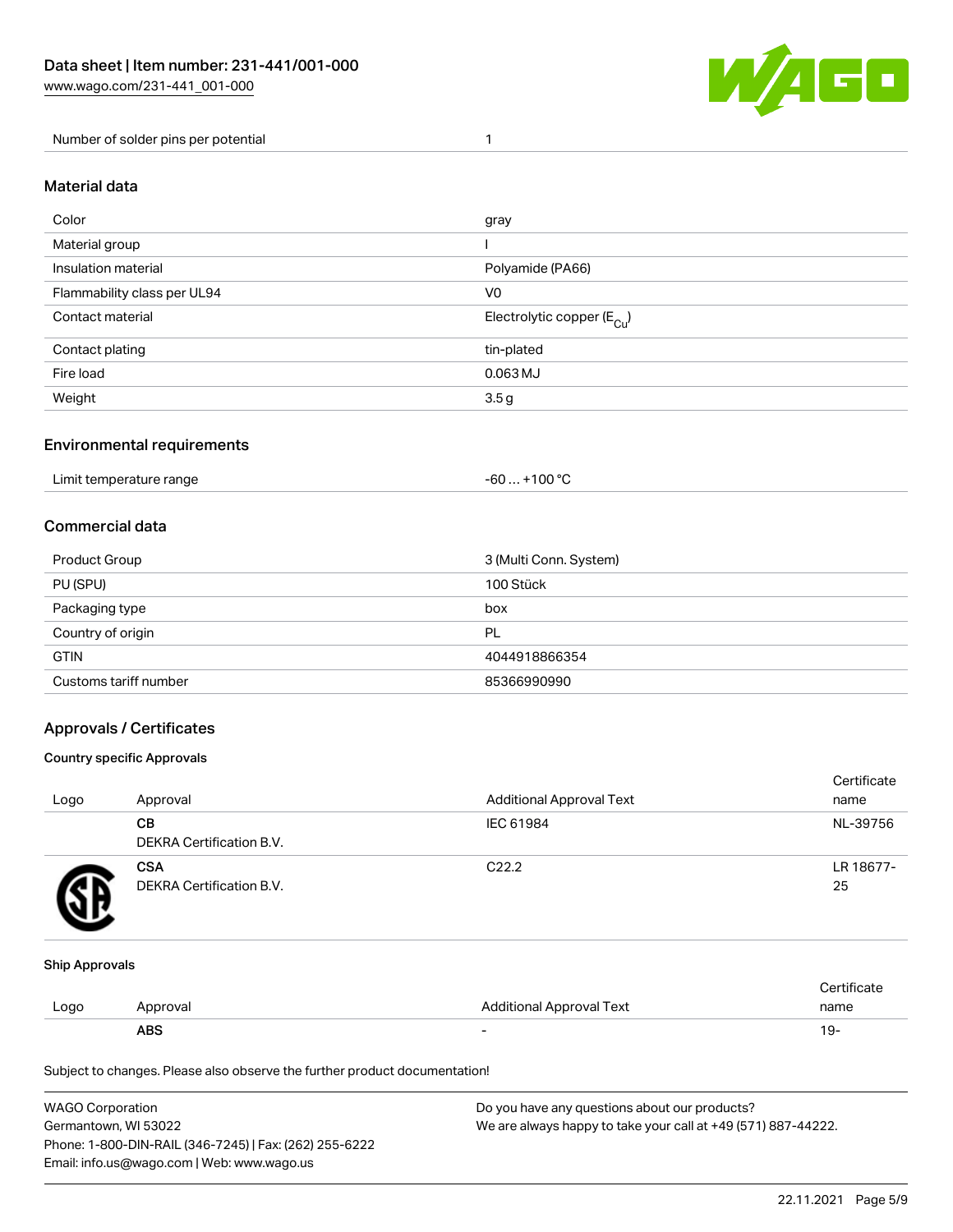

Number of solder pins per potential 1

#### Material data

| Color                       | gray                                    |
|-----------------------------|-----------------------------------------|
| Material group              |                                         |
| Insulation material         | Polyamide (PA66)                        |
| Flammability class per UL94 | V <sub>0</sub>                          |
| Contact material            | Electrolytic copper ( $E_{\text{Cu}}$ ) |
| Contact plating             | tin-plated                              |
| Fire load                   | $0.063$ MJ                              |
| Weight                      | 3.5g                                    |

### Environmental requirements

Limit temperature range  $-60... +100$  °C

### Commercial data

| Product Group         | 3 (Multi Conn. System) |
|-----------------------|------------------------|
| PU (SPU)              | 100 Stück              |
| Packaging type        | box                    |
| Country of origin     | PL                     |
| <b>GTIN</b>           | 4044918866354          |
| Customs tariff number | 85366990990            |

### Approvals / Certificates

#### Country specific Approvals

| Logo | Approval                               | <b>Additional Approval Text</b> | Certificate<br>name |
|------|----------------------------------------|---------------------------------|---------------------|
|      | CВ<br><b>DEKRA Certification B.V.</b>  | IEC 61984                       | NL-39756            |
|      | <b>CSA</b><br>DEKRA Certification B.V. | C <sub>22.2</sub>               | LR 18677-<br>25     |

#### Ship Approvals

|      | <b>ABS</b> |                          | 19-  |
|------|------------|--------------------------|------|
| LOQO | Approval   | Additional Approval Text | name |
|      |            |                          |      |

Subject to changes. Please also observe the further product documentation!

| WAGO Corporation                                       | Do you have any questions about our products?                 |
|--------------------------------------------------------|---------------------------------------------------------------|
| Germantown, WI 53022                                   | We are always happy to take your call at +49 (571) 887-44222. |
| Phone: 1-800-DIN-RAIL (346-7245)   Fax: (262) 255-6222 |                                                               |
| Email: info.us@wago.com   Web: www.wago.us             |                                                               |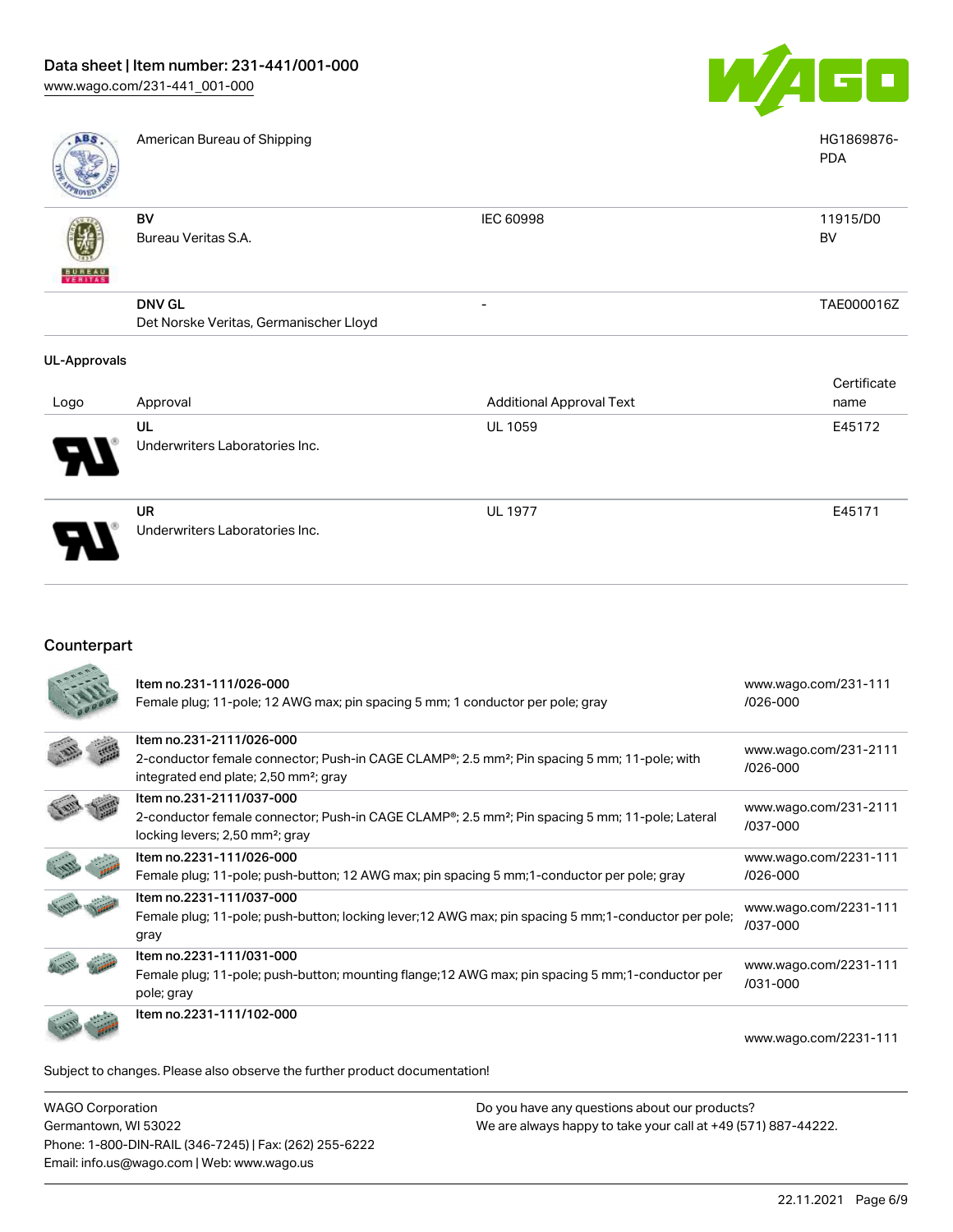

- TAE000016Z

| ABS           | American Bureau of Shipping |           | HG1869876-<br><b>PDA</b> |
|---------------|-----------------------------|-----------|--------------------------|
|               | BV<br>Bureau Veritas S.A.   | IEC 60998 | 11915/D0<br><b>BV</b>    |
| <b>BUREAU</b> |                             |           |                          |

Det Norske Veritas, Germanischer Lloyd

DNV GL

#### UL-Approvals

|                            | Approval                       | <b>Additional Approval Text</b> | Certificate |
|----------------------------|--------------------------------|---------------------------------|-------------|
| Logo                       |                                |                                 | name        |
|                            | UL                             | <b>UL 1059</b>                  | E45172      |
| $\boldsymbol{\mathcal{P}}$ | Underwriters Laboratories Inc. |                                 |             |
|                            | <b>UR</b>                      | <b>UL 1977</b>                  | E45171      |
| J                          | Underwriters Laboratories Inc. |                                 |             |

## Counterpart

| Item no.231-111/026-000<br>Female plug; 11-pole; 12 AWG max; pin spacing 5 mm; 1 conductor per pole; gray                                                                                              | www.wago.com/231-111<br>/026-000      |
|--------------------------------------------------------------------------------------------------------------------------------------------------------------------------------------------------------|---------------------------------------|
| Item no.231-2111/026-000<br>2-conductor female connector; Push-in CAGE CLAMP <sup>®</sup> ; 2.5 mm <sup>2</sup> ; Pin spacing 5 mm; 11-pole; with<br>integrated end plate; 2,50 mm <sup>2</sup> ; gray | www.wago.com/231-2111<br>$/026 - 000$ |
| Item no.231-2111/037-000<br>2-conductor female connector; Push-in CAGE CLAMP <sup>®</sup> ; 2.5 mm <sup>2</sup> ; Pin spacing 5 mm; 11-pole; Lateral<br>locking levers; 2,50 mm <sup>2</sup> ; gray    | www.wago.com/231-2111<br>/037-000     |
| Item no.2231-111/026-000<br>Female plug; 11-pole; push-button; 12 AWG max; pin spacing 5 mm; 1-conductor per pole; gray                                                                                | www.wago.com/2231-111<br>$/026 - 000$ |
| Item no.2231-111/037-000<br>Female plug; 11-pole; push-button; locking lever;12 AWG max; pin spacing 5 mm;1-conductor per pole;<br>gray                                                                | www.wago.com/2231-111<br>/037-000     |
| Item no.2231-111/031-000<br>Female plug; 11-pole; push-button; mounting flange; 12 AWG max; pin spacing 5 mm; 1-conductor per<br>pole; gray                                                            | www.wago.com/2231-111<br>/031-000     |
| Item no.2231-111/102-000                                                                                                                                                                               | www.wago.com/2231-111                 |
| Subject to changes. Please also observe the further product documentation!                                                                                                                             |                                       |

WAGO Corporation Germantown, WI 53022 Phone: 1-800-DIN-RAIL (346-7245) | Fax: (262) 255-6222 Email: info.us@wago.com | Web: www.wago.us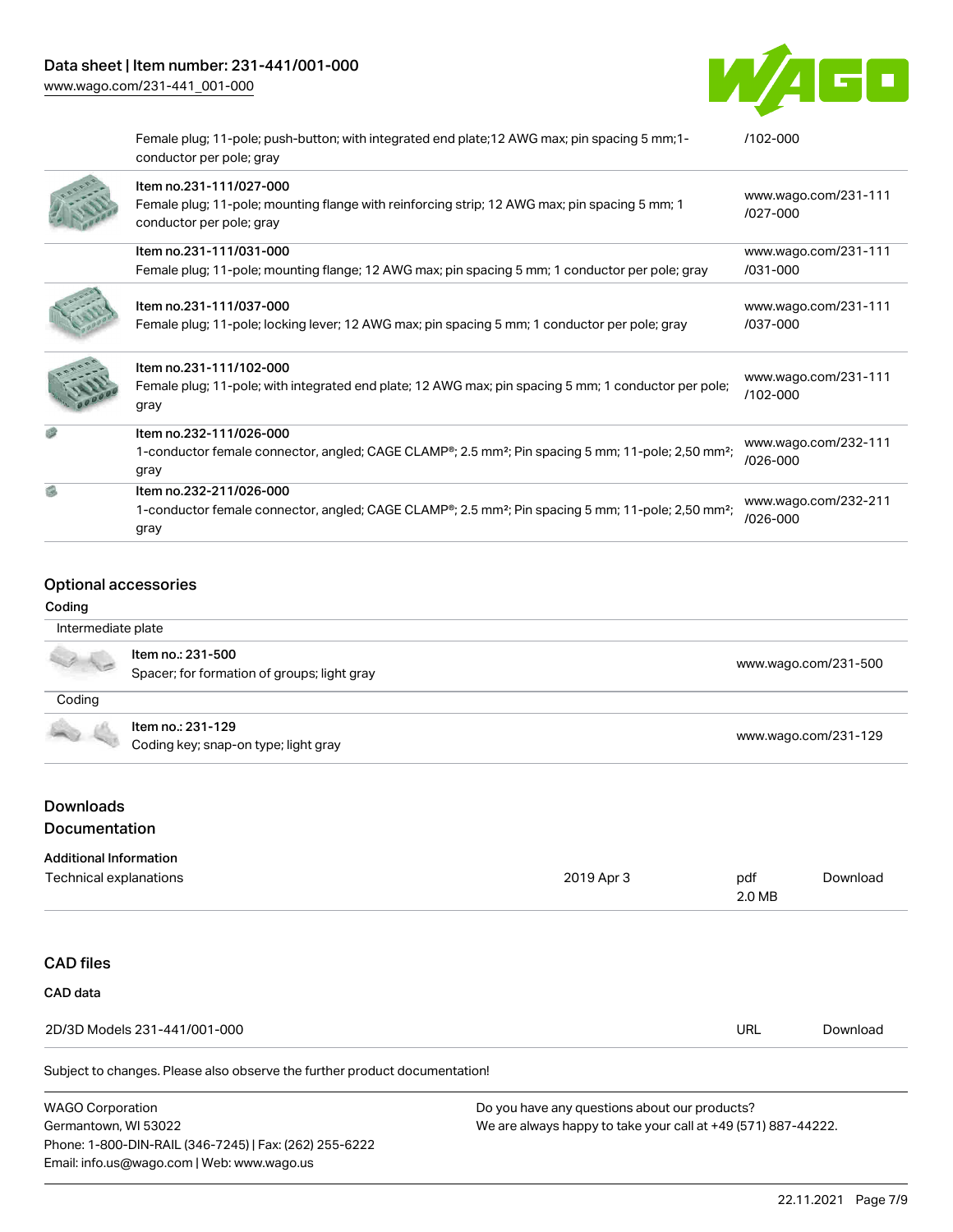

| Female plug; 11-pole; push-button; with integrated end plate; 12 AWG max; pin spacing 5 mm; 1-<br>conductor per pole; gray                                                 | $/102 - 000$                         |
|----------------------------------------------------------------------------------------------------------------------------------------------------------------------------|--------------------------------------|
| Item no.231-111/027-000<br>Female plug; 11-pole; mounting flange with reinforcing strip; 12 AWG max; pin spacing 5 mm; 1<br>conductor per pole; gray                       | www.wago.com/231-111<br>$1027 - 000$ |
| Item no.231-111/031-000                                                                                                                                                    | www.wago.com/231-111                 |
| Female plug; 11-pole; mounting flange; 12 AWG max; pin spacing 5 mm; 1 conductor per pole; gray                                                                            | /031-000                             |
| Item no.231-111/037-000<br>Female plug; 11-pole; locking lever; 12 AWG max; pin spacing 5 mm; 1 conductor per pole; gray                                                   | www.wago.com/231-111<br>/037-000     |
| Item no.231-111/102-000<br>Female plug; 11-pole; with integrated end plate; 12 AWG max; pin spacing 5 mm; 1 conductor per pole;<br>gray                                    | www.wago.com/231-111<br>/102-000     |
| Item no.232-111/026-000<br>1-conductor female connector, angled; CAGE CLAMP <sup>®</sup> ; 2.5 mm <sup>2</sup> ; Pin spacing 5 mm; 11-pole; 2,50 mm <sup>2</sup> ;<br>gray | www.wago.com/232-111<br>/026-000     |
| Item no.232-211/026-000<br>1-conductor female connector, angled; CAGE CLAMP®; 2.5 mm <sup>2</sup> ; Pin spacing 5 mm; 11-pole; 2,50 mm <sup>2</sup> ;<br>gray              | www.wago.com/232-211<br>/026-000     |

### Optional accessories

#### Coding

| Intermediate plate |                                                                  |                      |
|--------------------|------------------------------------------------------------------|----------------------|
|                    | Item no.: 231-500<br>Spacer; for formation of groups; light gray | www.wago.com/231-500 |
| Coding             |                                                                  |                      |
|                    | Item no.: 231-129<br>Coding key; snap-on type; light gray        | www.wago.com/231-129 |
|                    |                                                                  |                      |

## Downloads Documentation

#### Additional Information

| Technical explanations                                                     | 2019 Apr 3 | pdf<br>2.0 MB | Download |
|----------------------------------------------------------------------------|------------|---------------|----------|
|                                                                            |            |               |          |
| <b>CAD files</b>                                                           |            |               |          |
| CAD data                                                                   |            |               |          |
| 2D/3D Models 231-441/001-000                                               |            | <b>URL</b>    | Download |
| Subject to changes. Please also observe the further product documentation! |            |               |          |
|                                                                            |            |               |          |

WAGO Corporation Germantown, WI 53022 Phone: 1-800-DIN-RAIL (346-7245) | Fax: (262) 255-6222 Email: info.us@wago.com | Web: www.wago.us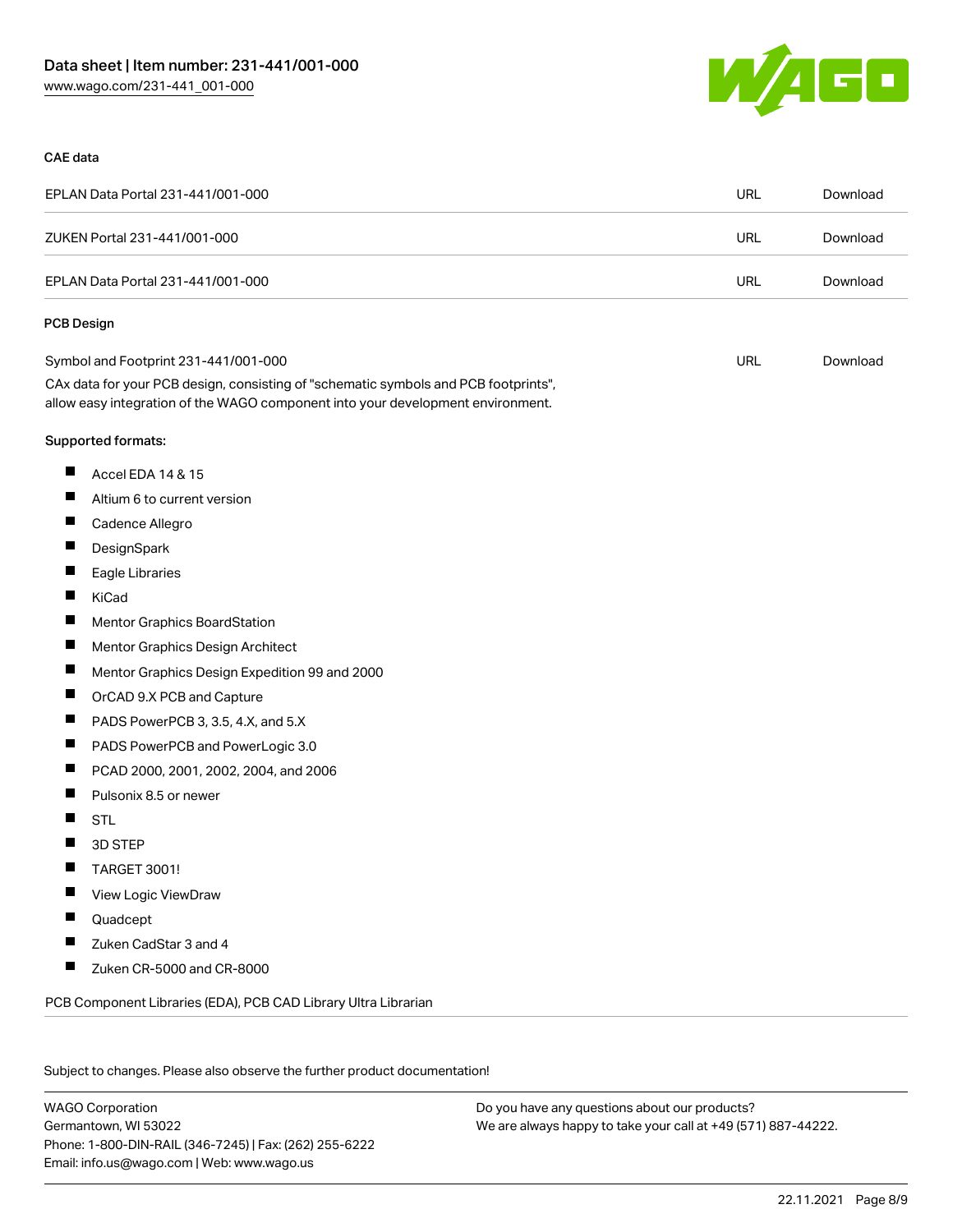

#### CAE data

| EPLAN Data Portal 231-441/001-000                                                                                                                                      | <b>URL</b> | Download |
|------------------------------------------------------------------------------------------------------------------------------------------------------------------------|------------|----------|
| ZUKEN Portal 231-441/001-000                                                                                                                                           | <b>URL</b> | Download |
| EPLAN Data Portal 231-441/001-000                                                                                                                                      | <b>URL</b> | Download |
| <b>PCB Design</b>                                                                                                                                                      |            |          |
| Symbol and Footprint 231-441/001-000                                                                                                                                   | URL        | Download |
| CAx data for your PCB design, consisting of "schematic symbols and PCB footprints",<br>allow easy integration of the WAGO component into your development environment. |            |          |
| Supported formats:                                                                                                                                                     |            |          |
| ш<br>Accel EDA 14 & 15                                                                                                                                                 |            |          |
| ш<br>Altium 6 to current version                                                                                                                                       |            |          |
| П<br>Cadence Allegro                                                                                                                                                   |            |          |
| ш<br>DesignSpark                                                                                                                                                       |            |          |
| ш<br>Eagle Libraries                                                                                                                                                   |            |          |
| Ш<br>KiCad                                                                                                                                                             |            |          |
| ш<br>Mentor Graphics BoardStation                                                                                                                                      |            |          |
| ш<br>Mentor Graphics Design Architect                                                                                                                                  |            |          |
| ш<br>Mentor Graphics Design Expedition 99 and 2000                                                                                                                     |            |          |
| ш<br>OrCAD 9.X PCB and Capture                                                                                                                                         |            |          |
| ш<br>PADS PowerPCB 3, 3.5, 4.X, and 5.X                                                                                                                                |            |          |
| ш<br>PADS PowerPCB and PowerLogic 3.0                                                                                                                                  |            |          |
| ш<br>PCAD 2000, 2001, 2002, 2004, and 2006                                                                                                                             |            |          |
| Ш<br>Pulsonix 8.5 or newer                                                                                                                                             |            |          |
| ш<br><b>STL</b>                                                                                                                                                        |            |          |
| 3D STEP<br>H                                                                                                                                                           |            |          |
| ×<br>TARGET 3001!                                                                                                                                                      |            |          |
| View Logic ViewDraw                                                                                                                                                    |            |          |
| Quadcept                                                                                                                                                               |            |          |
| Zuken CadStar 3 and 4                                                                                                                                                  |            |          |
| Zuken CR-5000 and CR-8000                                                                                                                                              |            |          |
| PCB Component Libraries (EDA), PCB CAD Library Ultra Librarian                                                                                                         |            |          |

Subject to changes. Please also observe the further product documentation!

WAGO Corporation Germantown, WI 53022 Phone: 1-800-DIN-RAIL (346-7245) | Fax: (262) 255-6222 Email: info.us@wago.com | Web: www.wago.us